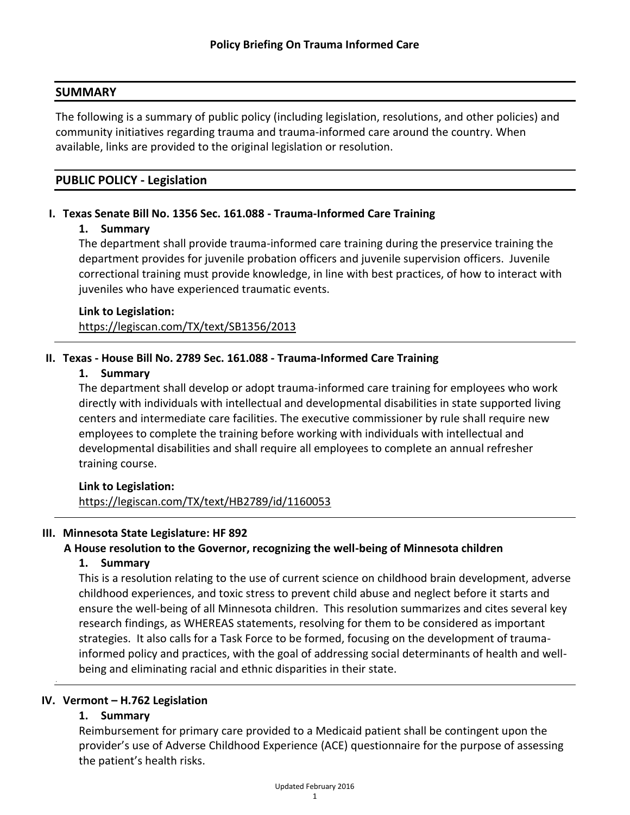#### **SUMMARY**

The following is a summary of public policy (including legislation, resolutions, and other policies) and community initiatives regarding trauma and trauma-informed care around the country. When available, links are provided to the original legislation or resolution.

### **PUBLIC POLICY - Legislation**

### **I. Texas Senate Bill No. 1356 Sec. 161.088 - Trauma-Informed Care Training**

#### **1. Summary**

The department shall provide trauma-informed care training during the preservice training the department provides for juvenile probation officers and juvenile supervision officers. Juvenile correctional training must provide knowledge, in line with best practices, of how to interact with juveniles who have experienced traumatic events.

# **Link to Legislation:** <https://legiscan.com/TX/text/SB1356/2013>

### **II. Texas - House Bill No. 2789 Sec. 161.088 - Trauma-Informed Care Training**

#### **1. Summary**

The department shall develop or adopt trauma-informed care training for employees who work directly with individuals with intellectual and developmental disabilities in state supported living centers and intermediate care facilities. The executive commissioner by rule shall require new employees to complete the training before working with individuals with intellectual and developmental disabilities and shall require all employees to complete an annual refresher training course.

### **Link to Legislation:**

<https://legiscan.com/TX/text/HB2789/id/1160053>

### **III. Minnesota State Legislature: HF 892**

### **A House resolution to the Governor, recognizing the well-being of Minnesota children**

### **1. Summary**

This is a resolution relating to the use of current science on childhood brain development, adverse childhood experiences, and toxic stress to prevent child abuse and neglect before it starts and ensure the well-being of all Minnesota children. This resolution summarizes and cites several key research findings, as WHEREAS statements, resolving for them to be considered as important strategies. It also calls for a Task Force to be formed, focusing on the development of traumainformed policy and practices, with the goal of addressing social determinants of health and wellbeing and eliminating racial and ethnic disparities in their state.

#### **IV. Vermont – H.762 Legislation**

### **1. Summary**

.

Reimbursement for primary care provided to a Medicaid patient shall be contingent upon the provider's use of Adverse Childhood Experience (ACE) questionnaire for the purpose of assessing the patient's health risks.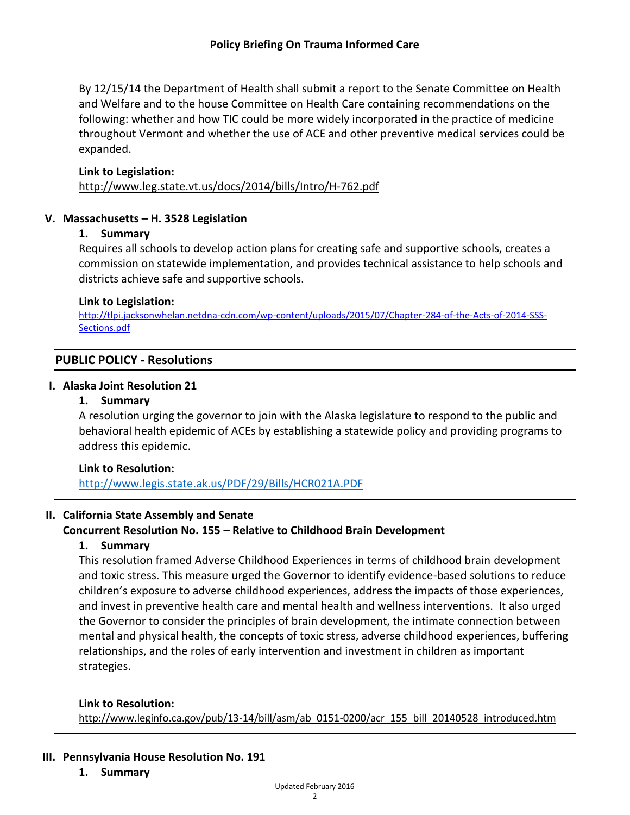By 12/15/14 the Department of Health shall submit a report to the Senate Committee on Health and Welfare and to the house Committee on Health Care containing recommendations on the following: whether and how TIC could be more widely incorporated in the practice of medicine throughout Vermont and whether the use of ACE and other preventive medical services could be expanded.

### **Link to Legislation:**

<http://www.leg.state.vt.us/docs/2014/bills/Intro/H-762.pdf>

### **V. Massachusetts – H. 3528 Legislation**

### **1. Summary**

Requires all schools to develop action plans for creating safe and supportive schools, creates a commission on statewide implementation, and provides technical assistance to help schools and districts achieve safe and supportive schools.

### **Link to Legislation:**

[http://tlpi.jacksonwhelan.netdna-cdn.com/wp-content/uploads/2015/07/Chapter-284-of-the-Acts-of-2014-SSS-](http://tlpi.jacksonwhelan.netdna-cdn.com/wp-content/uploads/2015/07/Chapter-284-of-the-Acts-of-2014-SSS-Sections.pdf)[Sections.pdf](http://tlpi.jacksonwhelan.netdna-cdn.com/wp-content/uploads/2015/07/Chapter-284-of-the-Acts-of-2014-SSS-Sections.pdf)

## **PUBLIC POLICY - Resolutions**

### **I. Alaska Joint Resolution 21**

### **1. Summary**

A resolution urging the governor to join with the Alaska legislature to respond to the public and behavioral health epidemic of ACEs by establishing a statewide policy and providing programs to address this epidemic.

### **Link to Resolution:**

<http://www.legis.state.ak.us/PDF/29/Bills/HCR021A.PDF>

## **II. California State Assembly and Senate**

## **Concurrent Resolution No. 155 – Relative to Childhood Brain Development**

### **1. Summary**

This resolution framed Adverse Childhood Experiences in terms of childhood brain development and toxic stress. This measure urged the Governor to identify evidence-based solutions to reduce children's exposure to adverse childhood experiences, address the impacts of those experiences, and invest in preventive health care and mental health and wellness interventions. It also urged the Governor to consider the principles of brain development, the intimate connection between mental and physical health, the concepts of toxic stress, adverse childhood experiences, buffering relationships, and the roles of early intervention and investment in children as important strategies.

### **Link to Resolution:**

[http://www.leginfo.ca.gov/pub/13-14/bill/asm/ab\\_0151-0200/acr\\_155\\_bill\\_20140528\\_introduced.htm](http://www.leginfo.ca.gov/pub/13-14/bill/asm/ab_0151-0200/acr_155_bill_20140528_introduced.htm)

### **III. Pennsylvania House Resolution No. 191**

**1. Summary**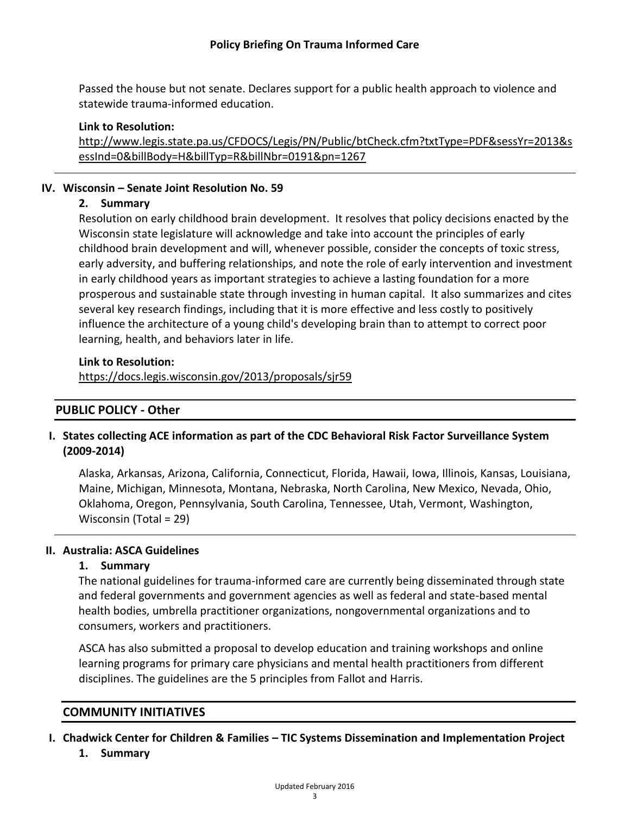Passed the house but not senate. Declares support for a public health approach to violence and statewide trauma-informed education.

### **Link to Resolution:**

[http://www.legis.state.pa.us/CFDOCS/Legis/PN/Public/btCheck.cfm?txtType=PDF&sessYr=2013&s](http://www.legis.state.pa.us/CFDOCS/Legis/PN/Public/btCheck.cfm?txtType=PDF&sessYr=2013&sessInd=0&billBody=H&billTyp=R&billNbr=0191&pn=1267) [essInd=0&billBody=H&billTyp=R&billNbr=0191&pn=1267](http://www.legis.state.pa.us/CFDOCS/Legis/PN/Public/btCheck.cfm?txtType=PDF&sessYr=2013&sessInd=0&billBody=H&billTyp=R&billNbr=0191&pn=1267)

## **IV. Wisconsin – Senate Joint Resolution No. 59**

## **2. Summary**

Resolution on early childhood brain development. It resolves that policy decisions enacted by the Wisconsin state legislature will acknowledge and take into account the principles of early childhood brain development and will, whenever possible, consider the concepts of toxic stress, early adversity, and buffering relationships, and note the role of early intervention and investment in early childhood years as important strategies to achieve a lasting foundation for a more prosperous and sustainable state through investing in human capital. It also summarizes and cites several key research findings, including that it is more effective and less costly to positively influence the architecture of a young child's developing brain than to attempt to correct poor learning, health, and behaviors later in life.

### **Link to Resolution:**

<https://docs.legis.wisconsin.gov/2013/proposals/sjr59>

# **PUBLIC POLICY - Other**

# **I. States collecting ACE information as part of the CDC Behavioral Risk Factor Surveillance System (2009-2014)**

Alaska, Arkansas, Arizona, California, Connecticut, Florida, Hawaii, Iowa, Illinois, Kansas, Louisiana, Maine, Michigan, Minnesota, Montana, Nebraska, North Carolina, New Mexico, Nevada, Ohio, Oklahoma, Oregon, Pennsylvania, South Carolina, Tennessee, Utah, Vermont, Washington, Wisconsin (Total = 29)

## **II. Australia: ASCA Guidelines**

## **1. Summary**

The national guidelines for trauma-informed care are currently being disseminated through state and federal governments and government agencies as well as federal and state-based mental health bodies, umbrella practitioner organizations, nongovernmental organizations and to consumers, workers and practitioners.

ASCA has also submitted a proposal to develop education and training workshops and online learning programs for primary care physicians and mental health practitioners from different disciplines. The guidelines are the 5 principles from Fallot and Harris.

## **COMMUNITY INITIATIVES**

- **I. Chadwick Center for Children & Families – TIC Systems Dissemination and Implementation Project**
	- **1. Summary**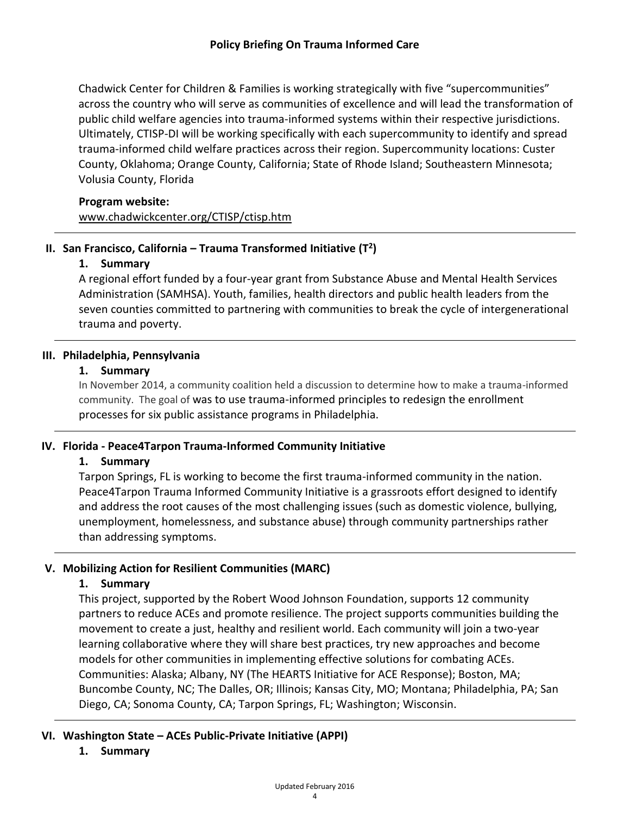Chadwick Center for Children & Families is working strategically with five "supercommunities" across the country who will serve as communities of excellence and will lead the transformation of public child welfare agencies into trauma-informed systems within their respective jurisdictions. Ultimately, CTISP-DI will be working specifically with each supercommunity to identify and spread trauma-informed child welfare practices across their region. Supercommunity locations: Custer County, Oklahoma; Orange County, California; State of Rhode Island; Southeastern Minnesota; Volusia County, Florida

### **Program website:**

[www.chadwickcenter.org/CTISP/ctisp.htm](file:///C:/Users/gssw.rdwilson/Desktop/www.chadwickcenter.org/CTISP/ctisp.htm)

# **II. San Francisco, California – Trauma Transformed Initiative (T<sup>2</sup> )**

## **1. Summary**

A regional effort funded by a four-year grant from Substance Abuse and Mental Health Services Administration (SAMHSA). Youth, families, health directors and public health leaders from the seven counties committed to partnering with communities to break the cycle of intergenerational trauma and poverty.

### **III. Philadelphia, Pennsylvania**

### **1. Summary**

In November 2014, a community coalition held a discussion to determine how to make a trauma-informed community. The goal of was to use trauma-informed principles to redesign the enrollment processes for six public assistance programs in Philadelphia.

## **IV. Florida - Peace4Tarpon Trauma-Informed Community Initiative**

## **1. Summary**

Tarpon Springs, FL is working to become the first trauma-informed community in the nation. Peace4Tarpon Trauma Informed Community Initiative is a grassroots effort designed to identify and address the root causes of the most challenging issues (such as domestic violence, bullying, unemployment, homelessness, and substance abuse) through community partnerships rather than addressing symptoms.

## **V. Mobilizing Action for Resilient Communities (MARC)**

## **1. Summary**

This project, supported by the Robert Wood Johnson Foundation, supports 12 community partners to reduce ACEs and promote resilience. The project supports communities building the movement to create a just, healthy and resilient world. Each community will join a two-year learning collaborative where they will share best practices, try new approaches and become models for other communities in implementing effective solutions for combating ACEs. Communities: Alaska; Albany, NY (The HEARTS Initiative for ACE Response); Boston, MA; Buncombe County, NC; The Dalles, OR; Illinois; Kansas City, MO; Montana; Philadelphia, PA; San Diego, CA; Sonoma County, CA; Tarpon Springs, FL; Washington; Wisconsin.

## **VI. Washington State – ACEs Public-Private Initiative (APPI)**

## **1. Summary**